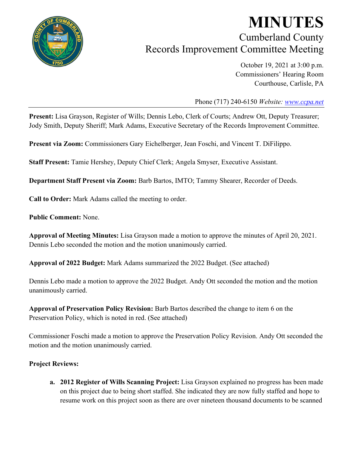

## **MINUTES** Cumberland County Records Improvement Committee Meeting

October 19, 2021 at 3:00 p.m. Commissioners' Hearing Room Courthouse, Carlisle, PA

Phone (717) 240-6150 *Website: [www.ccpa.net](http://www.ccpa.net/)*

**Present:** Lisa Grayson, Register of Wills; Dennis Lebo, Clerk of Courts; Andrew Ott, Deputy Treasurer; Jody Smith, Deputy Sheriff; Mark Adams, Executive Secretary of the Records Improvement Committee.

**Present via Zoom:** Commissioners Gary Eichelberger, Jean Foschi, and Vincent T. DiFilippo.

**Staff Present:** Tamie Hershey, Deputy Chief Clerk; Angela Smyser, Executive Assistant.

**Department Staff Present via Zoom:** Barb Bartos, IMTO; Tammy Shearer, Recorder of Deeds.

**Call to Order:** Mark Adams called the meeting to order.

**Public Comment:** None.

**Approval of Meeting Minutes:** Lisa Grayson made a motion to approve the minutes of April 20, 2021. Dennis Lebo seconded the motion and the motion unanimously carried.

**Approval of 2022 Budget:** Mark Adams summarized the 2022 Budget. (See attached)

Dennis Lebo made a motion to approve the 2022 Budget. Andy Ott seconded the motion and the motion unanimously carried.

**Approval of Preservation Policy Revision:** Barb Bartos described the change to item 6 on the Preservation Policy, which is noted in red. (See attached)

Commissioner Foschi made a motion to approve the Preservation Policy Revision. Andy Ott seconded the motion and the motion unanimously carried.

## **Project Reviews:**

**a. 2012 Register of Wills Scanning Project:** Lisa Grayson explained no progress has been made on this project due to being short staffed. She indicated they are now fully staffed and hope to resume work on this project soon as there are over nineteen thousand documents to be scanned